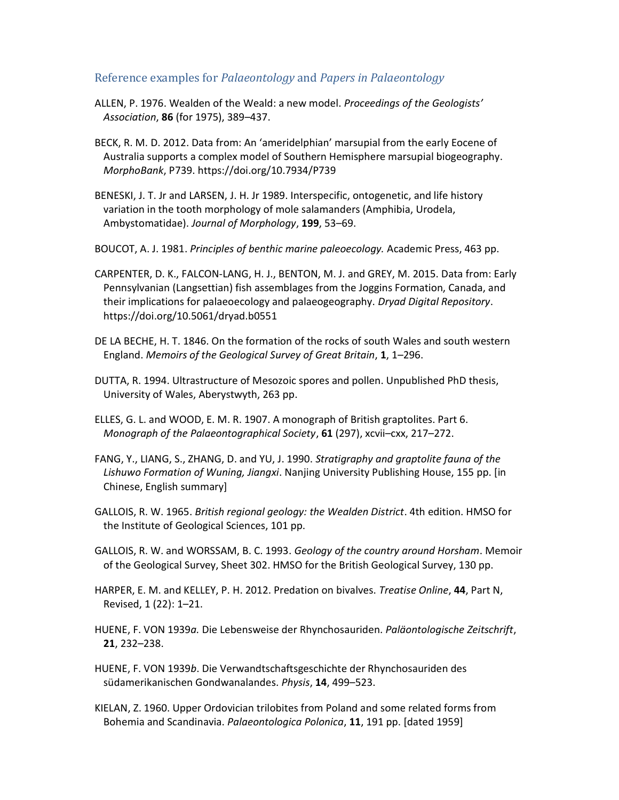## Reference examples for Palaeontology and Papers in Palaeontology

- ALLEN, P. 1976. Wealden of the Weald: a new model. Proceedings of the Geologists' Association, 86 (for 1975), 389–437.
- BECK, R. M. D. 2012. Data from: An 'ameridelphian' marsupial from the early Eocene of Australia supports a complex model of Southern Hemisphere marsupial biogeography. MorphoBank, P739. https://doi.org/10.7934/P739
- BENESKI, J. T. Jr and LARSEN, J. H. Jr 1989. Interspecific, ontogenetic, and life history variation in the tooth morphology of mole salamanders (Amphibia, Urodela, Ambystomatidae). Journal of Morphology, 199, 53–69.
- BOUCOT, A. J. 1981. Principles of benthic marine paleoecology. Academic Press, 463 pp.
- CARPENTER, D. K., FALCON-LANG, H. J., BENTON, M. J. and GREY, M. 2015. Data from: Early Pennsylvanian (Langsettian) fish assemblages from the Joggins Formation, Canada, and their implications for palaeoecology and palaeogeography. Dryad Digital Repository. https://doi.org/10.5061/dryad.b0551
- DE LA BECHE, H. T. 1846. On the formation of the rocks of south Wales and south western England. Memoirs of the Geological Survey of Great Britain, 1, 1–296.
- DUTTA, R. 1994. Ultrastructure of Mesozoic spores and pollen. Unpublished PhD thesis, University of Wales, Aberystwyth, 263 pp.
- ELLES, G. L. and WOOD, E. M. R. 1907. A monograph of British graptolites. Part 6. Monograph of the Palaeontographical Society, 61 (297), xcvii–cxx, 217–272.
- FANG, Y., LIANG, S., ZHANG, D. and YU, J. 1990. Stratigraphy and graptolite fauna of the Lishuwo Formation of Wuning, Jiangxi. Nanjing University Publishing House, 155 pp. [in Chinese, English summary]
- GALLOIS, R. W. 1965. British regional geology: the Wealden District. 4th edition. HMSO for the Institute of Geological Sciences, 101 pp.
- GALLOIS, R. W. and WORSSAM, B. C. 1993. Geology of the country around Horsham. Memoir of the Geological Survey, Sheet 302. HMSO for the British Geological Survey, 130 pp.
- HARPER, E. M. and KELLEY, P. H. 2012. Predation on bivalves. Treatise Online, 44, Part N, Revised, 1 (22): 1–21.
- HUENE, F. VON 1939a. Die Lebensweise der Rhynchosauriden. Paläontologische Zeitschrift, 21, 232–238.
- HUENE, F. VON 1939b. Die Verwandtschaftsgeschichte der Rhynchosauriden des südamerikanischen Gondwanalandes. Physis, 14, 499–523.
- KIELAN, Z. 1960. Upper Ordovician trilobites from Poland and some related forms from Bohemia and Scandinavia. Palaeontologica Polonica, 11, 191 pp. [dated 1959]